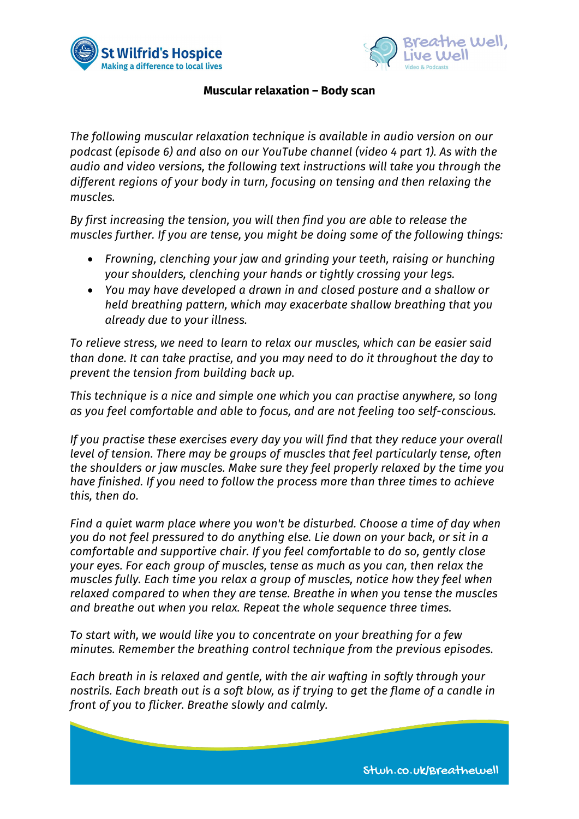



## **Muscular relaxation – Body scan**

*The following muscular relaxation technique is available in audio version on our podcast (episode 6) and also on our YouTube channel (video 4 part 1). As with the audio and video versions, the following text instructions will take you through the different regions of your body in turn, focusing on tensing and then relaxing the muscles.* 

*By first increasing the tension, you will then find you are able to release the muscles further. If you are tense, you might be doing some of the following things:* 

- *Frowning, clenching your jaw and grinding your teeth, raising or hunching your shoulders, clenching your hands or tightly crossing your legs.*
- *You may have developed a drawn in and closed posture and a shallow or held breathing pattern, which may exacerbate shallow breathing that you already due to your illness.*

*To relieve stress, we need to learn to relax our muscles, which can be easier said than done. It can take practise, and you may need to do it throughout the day to prevent the tension from building back up.* 

*This technique is a nice and simple one which you can practise anywhere, so long as you feel comfortable and able to focus, and are not feeling too self-conscious.*

*If you practise these exercises every day you will find that they reduce your overall level of tension. There may be groups of muscles that feel particularly tense, often the shoulders or jaw muscles. Make sure they feel properly relaxed by the time you have finished. If you need to follow the process more than three times to achieve this, then do.*

*Find a quiet warm place where you won't be disturbed. Choose a time of day when you do not feel pressured to do anything else. Lie down on your back, or sit in a comfortable and supportive chair. If you feel comfortable to do so, gently close your eyes. For each group of muscles, tense as much as you can, then relax the muscles fully. Each time you relax a group of muscles, notice how they feel when relaxed compared to when they are tense. Breathe in when you tense the muscles and breathe out when you relax. Repeat the whole sequence three times.*

*To start with, we would like you to concentrate on your breathing for a few minutes. Remember the breathing control technique from the previous episodes.* 

*Each breath in is relaxed and gentle, with the air wafting in softly through your nostrils. Each breath out is a soft blow, as if trying to get the flame of a candle in front of you to flicker. Breathe slowly and calmly.*